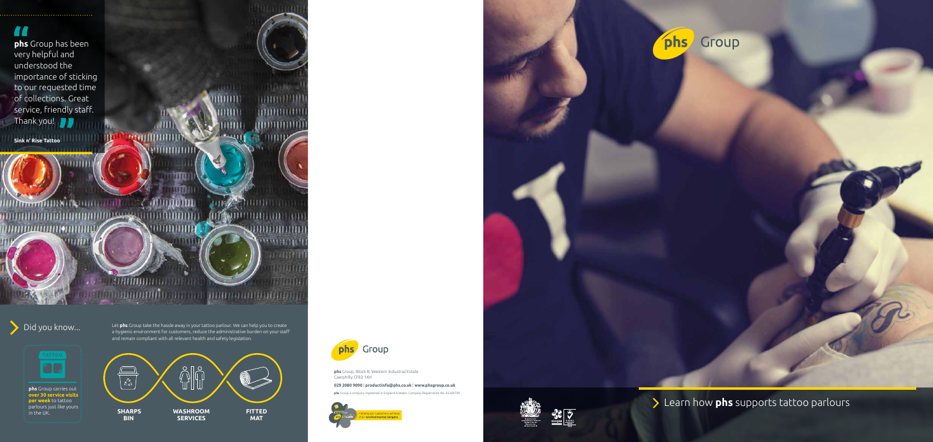





Group

Learn how **phs** supports tattoo parlours

Did you know... Let **phs** Group take the hassle away in your tattoo parlour. We can help you to create a hygienic environment for customers, reduce the administrative burden on your staff and remain compliant with all relevant health and safety legislation.

**phs** Group carries out **over 30 service visits per week** to tattoo parlours just like yours

**TATTOO** 

**OD** 

in the UK.

**phs** Group a company registered in England & Wales. Company Registration No. 05384799







**OR UKAS** 

**phs** Group, Block B, Western Industrial Estate Caerphilly CF83 1XH

# **029 2080 9090** | **productinfo@phs.co.uk** | **www.phsgroup.co.uk**